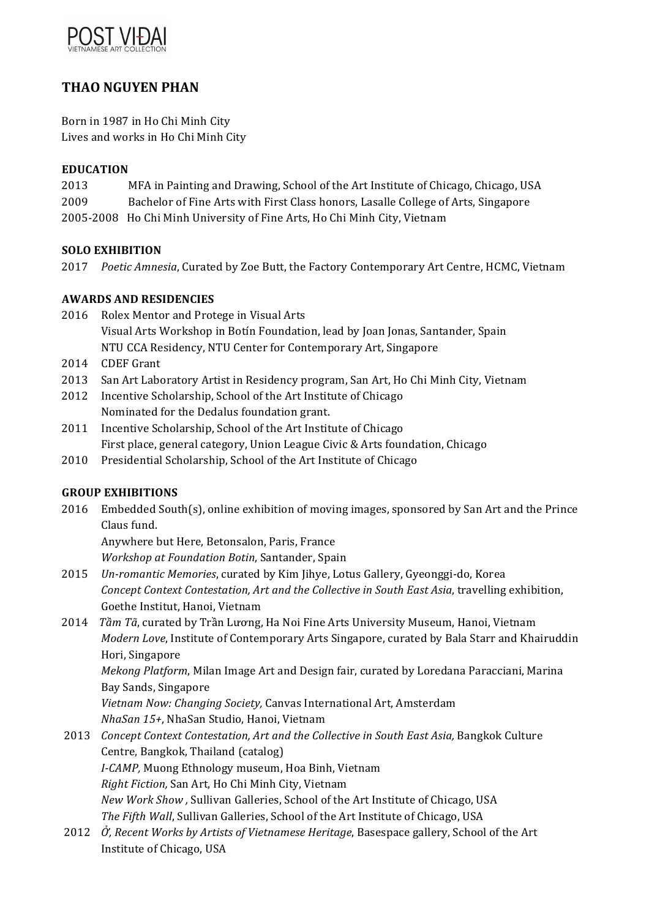

# **THAO NGUYEN PHAN**

Born in 1987 in Ho Chi Minh City Lives and works in Ho Chi Minh City

### **EDUCATION**

- 2013 MFA in Painting and Drawing, School of the Art Institute of Chicago, Chicago, USA
- 2009 Bachelor of Fine Arts with First Class honors, Lasalle College of Arts, Singapore
- 2005-2008 Ho Chi Minh University of Fine Arts, Ho Chi Minh City, Vietnam

# **SOLO EXHIBITION**

2017 Poetic Amnesia, Curated by Zoe Butt, the Factory Contemporary Art Centre, HCMC, Vietnam

# **AWARDS AND RESIDENCIES**

- 2016 Rolex Mentor and Protege in Visual Arts Visual Arts Workshop in Botín Foundation, lead by Joan Jonas, Santander, Spain NTU CCA Residency, NTU Center for Contemporary Art, Singapore
- 2014 CDEF Grant
- 2013 San Art Laboratory Artist in Residency program, San Art, Ho Chi Minh City, Vietnam
- 2012 Incentive Scholarship, School of the Art Institute of Chicago Nominated for the Dedalus foundation grant.
- 2011 Incentive Scholarship, School of the Art Institute of Chicago First place, general category, Union League Civic & Arts foundation, Chicago
- 2010 Presidential Scholarship, School of the Art Institute of Chicago

# **GROUP EXHIBITIONS**

2016 Embedded South(s), online exhibition of moving images, sponsored by San Art and the Prince Claus fund.

Anywhere but Here, Betonsalon, Paris, France

*Workshop at Foundation Botin*, Santander, Spain

- 2015 Un-romantic Memories, curated by Kim Jihye, Lotus Gallery, Gyeonggi-do, Korea *Concept Context Contestation, Art and the Collective in South East Asia, travelling exhibition,* Goethe Institut, Hanoi, Vietnam
- 2014 *Tầm Tã*, curated by Trần Lương, Ha Noi Fine Arts University Museum, Hanoi, Vietnam *Modern Love*, Institute of Contemporary Arts Singapore, curated by Bala Starr and Khairuddin Hori, Singapore

*Mekong Platform,* Milan Image Art and Design fair, curated by Loredana Paracciani, Marina Bay Sands, Singapore

*Vietnam Now: Changing Society,* Canvas International Art, Amsterdam *NhaSan 15+*, NhaSan Studio, Hanoi, Vietnam

- 2013 *Concept Context Contestation, Art and the Collective in South East Asia, Bangkok Culture* Centre, Bangkok, Thailand (catalog) *I-CAMP*, Muong Ethnology museum, Hoa Binh, Vietnam *Right Fiction, San Art, Ho Chi Minh City, Vietnam New Work Show,* Sullivan Galleries, School of the Art Institute of Chicago, USA *The Fifth Wall*, Sullivan Galleries, School of the Art Institute of Chicago, USA
- 2012  $\hat{O}$ , Recent Works by Artists of Vietnamese Heritage, Basespace gallery, School of the Art Institute of Chicago, USA